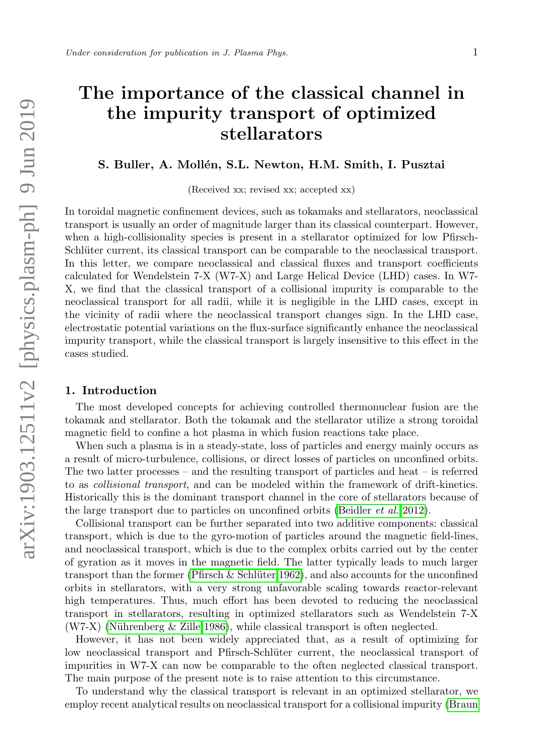# The importance of the classical channel in the impurity transport of optimized stellarators

# S. Buller, A. Mollén, S.L. Newton, H.M. Smith, I. Pusztai

(Received xx; revised xx; accepted xx)

In toroidal magnetic confinement devices, such as tokamaks and stellarators, neoclassical transport is usually an order of magnitude larger than its classical counterpart. However, when a high-collisionality species is present in a stellarator optimized for low Pfirsch-Schlüter current, its classical transport can be comparable to the neoclassical transport. In this letter, we compare neoclassical and classical fluxes and transport coefficients calculated for Wendelstein 7-X (W7-X) and Large Helical Device (LHD) cases. In W7- X, we find that the classical transport of a collisional impurity is comparable to the neoclassical transport for all radii, while it is negligible in the LHD cases, except in the vicinity of radii where the neoclassical transport changes sign. In the LHD case, electrostatic potential variations on the flux-surface significantly enhance the neoclassical impurity transport, while the classical transport is largely insensitive to this effect in the cases studied.

#### 1. Introduction

The most developed concepts for achieving controlled thermonuclear fusion are the tokamak and stellarator. Both the tokamak and the stellarator utilize a strong toroidal magnetic field to confine a hot plasma in which fusion reactions take place.

When such a plasma is in a steady-state, loss of particles and energy mainly occurs as a result of micro-turbulence, collisions, or direct losses of particles on unconfined orbits. The two latter processes – and the resulting transport of particles and heat – is referred to as collisional transport, and can be modeled within the framework of drift-kinetics. Historically this is the dominant transport channel in the core of stellarators because of the large transport due to particles on unconfined orbits [\(Beidler](#page-7-0) et al. [2012\)](#page-7-0).

Collisional transport can be further separated into two additive components: classical transport, which is due to the gyro-motion of particles around the magnetic field-lines, and neoclassical transport, which is due to the complex orbits carried out by the center of gyration as it moves in the magnetic field. The latter typically leads to much larger transport than the former (Pfirsch  $\&$  Schlüter 1962), and also accounts for the unconfined orbits in stellarators, with a very strong unfavorable scaling towards reactor-relevant high temperatures. Thus, much effort has been devoted to reducing the neoclassical transport in stellarators, resulting in optimized stellarators such as Wendelstein 7-X  $(W7-X)$  (Nührenberg & Zille 1986), while classical transport is often neglected.

However, it has not been widely appreciated that, as a result of optimizing for low neoclassical transport and Pfirsch-Schlüter current, the neoclassical transport of impurities in W7-X can now be comparable to the often neglected classical transport. The main purpose of the present note is to raise attention to this circumstance.

To understand why the classical transport is relevant in an optimized stellarator, we employ recent analytical results on neoclassical transport for a collisional impurity [\(Braun](#page-8-0)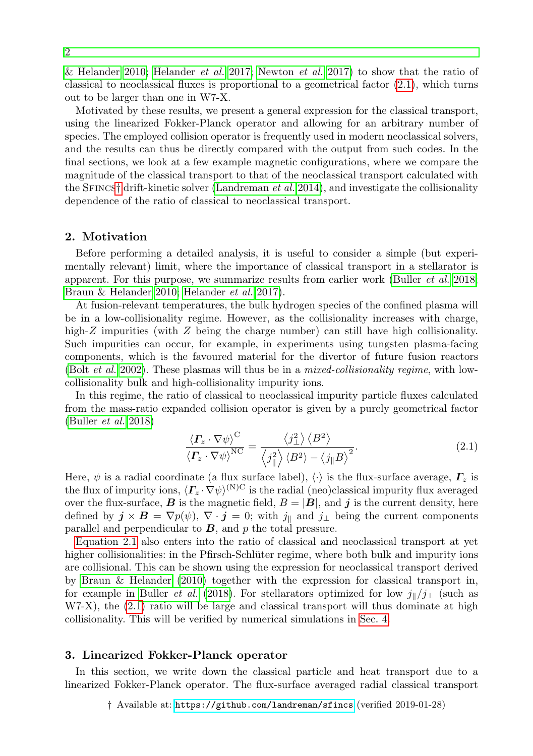[& Helander 2010;](#page-8-0) [Helander](#page-8-1) *et al.* [2017;](#page-8-1) [Newton](#page-8-2) *et al.* [2017\)](#page-8-2) to show that the ratio of classical to neoclassical fluxes is proportional to a geometrical factor  $(2.1)$ , which turns out to be larger than one in W7-X.

Motivated by these results, we present a general expression for the classical transport, using the linearized Fokker-Planck operator and allowing for an arbitrary number of species. The employed collision operator is frequently used in modern neoclassical solvers, and the results can thus be directly compared with the output from such codes. In the final sections, we look at a few example magnetic configurations, where we compare the magnitude of the classical transport to that of the neoclassical transport calculated with the SFINCS[†](#page-1-1) drift-kinetic solver [\(Landreman](#page-8-3) *et al.* [2014\)](#page-8-3), and investigate the collisionality dependence of the ratio of classical to neoclassical transport.

## <span id="page-1-2"></span>2. Motivation

Before performing a detailed analysis, it is useful to consider a simple (but experimentally relevant) limit, where the importance of classical transport in a stellarator is apparent. For this purpose, we summarize results from earlier work [\(Buller](#page-8-4) et al. [2018;](#page-8-4) [Braun & Helander 2010;](#page-8-0) [Helander](#page-8-1) et al. [2017\)](#page-8-1).

At fusion-relevant temperatures, the bulk hydrogen species of the confined plasma will be in a low-collisionality regime. However, as the collisionality increases with charge, high-Z impurities (with Z being the charge number) can still have high collisionality. Such impurities can occur, for example, in experiments using tungsten plasma-facing components, which is the favoured material for the divertor of future fusion reactors (Bolt *[et al.](#page-8-5)* [2002\)](#page-8-5). These plasmas will thus be in a *mixed-collisionality regime*, with lowcollisionality bulk and high-collisionality impurity ions.

In this regime, the ratio of classical to neoclassical impurity particle fluxes calculated from the mass-ratio expanded collision operator is given by a purely geometrical factor [\(Buller](#page-8-4) et al. [2018\)](#page-8-4)

<span id="page-1-0"></span>
$$
\frac{\langle \boldsymbol{\varGamma}_{z} \cdot \nabla \psi \rangle^{\text{C}}}{\langle \boldsymbol{\varGamma}_{z} \cdot \nabla \psi \rangle^{\text{NC}}} = \frac{\langle j_{\perp}^{2} \rangle \langle B^{2} \rangle}{\langle j_{\parallel}^{2} \rangle \langle B^{2} \rangle - \langle j_{\parallel} B \rangle^{2}}.
$$
\n(2.1)

Here,  $\psi$  is a radial coordinate (a flux surface label),  $\langle \cdot \rangle$  is the flux-surface average,  $\Gamma_z$  is the flux of impurity ions,  $\langle \Gamma_z \cdot \nabla \psi \rangle^{(N)C}$  is the radial (neo)classical impurity flux averaged over the flux-surface, **B** is the magnetic field,  $B = |B|$ , and j is the current density, here defined by  $\mathbf{j} \times \mathbf{B} = \nabla p(\psi)$ ,  $\nabla \cdot \mathbf{j} = 0$ ; with  $j_{\parallel}$  and  $j_{\perp}$  being the current components parallel and perpendicular to  $B$ , and  $p$  the total pressure.

[Equation 2.1](#page-1-0) also enters into the ratio of classical and neoclassical transport at yet higher collisionalities: in the Pfirsch-Schlüter regime, where both bulk and impurity ions are collisional. This can be shown using the expression for neoclassical transport derived by [Braun & Helander](#page-8-0) [\(2010\)](#page-8-0) together with the expression for classical transport in, for example in [Buller](#page-8-4) *et al.* [\(2018\)](#page-8-4). For stellarators optimized for low  $j\sqrt{j_\perp}$  (such as W7-X), the [\(2.1\)](#page-1-0) ratio will be large and classical transport will thus dominate at high collisionality. This will be verified by numerical simulations in [Sec. 4.](#page-3-0)

### 3. Linearized Fokker-Planck operator

In this section, we write down the classical particle and heat transport due to a linearized Fokker-Planck operator. The flux-surface averaged radial classical transport

<span id="page-1-1"></span>† Available at: <https://github.com/landreman/sfincs> (verified 2019-01-28)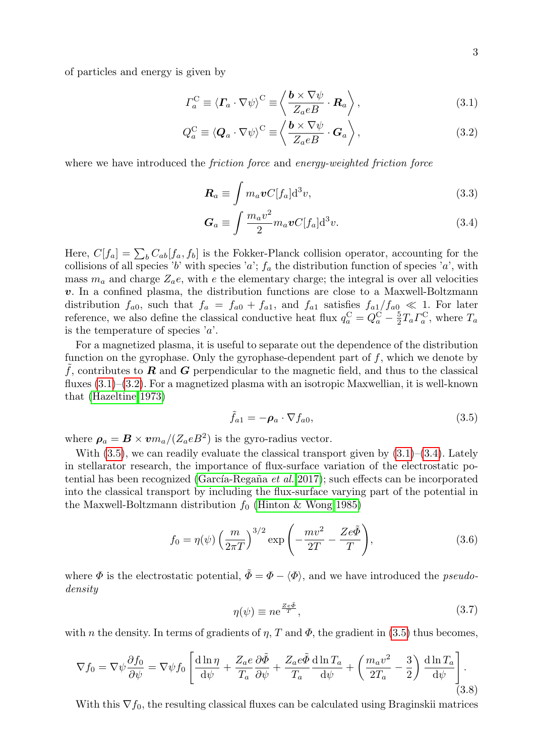of particles and energy is given by

$$
\Gamma_a^{\rm C} \equiv \langle \boldsymbol{\varGamma}_a \cdot \nabla \psi \rangle^{\rm C} \equiv \left\langle \frac{\boldsymbol{b} \times \nabla \psi}{Z_a e B} \cdot \boldsymbol{R}_a \right\rangle, \tag{3.1}
$$

$$
Q_a^{\mathcal{C}} \equiv \langle \mathbf{Q}_a \cdot \nabla \psi \rangle^{\mathcal{C}} \equiv \left\langle \frac{\mathbf{b} \times \nabla \psi}{Z_a e B} \cdot \mathbf{G}_a \right\rangle, \tag{3.2}
$$

where we have introduced the *friction force* and *energy-weighted friction force* 

<span id="page-2-1"></span><span id="page-2-0"></span>
$$
\boldsymbol{R}_a \equiv \int m_a \boldsymbol{v} C[f_a] \mathrm{d}^3 v,\tag{3.3}
$$

<span id="page-2-3"></span>
$$
G_a \equiv \int \frac{m_a v^2}{2} m_a v C[f_a] d^3 v. \tag{3.4}
$$

Here,  $C[f_a] = \sum_b C_{ab}[f_a, f_b]$  is the Fokker-Planck collision operator, accounting for the collisions of all species 'b' with species 'a';  $f_a$  the distribution function of species 'a', with mass  $m_a$  and charge  $Z_a$ e, with e the elementary charge; the integral is over all velocities v. In a confined plasma, the distribution functions are close to a Maxwell-Boltzmann distribution  $f_{a0}$ , such that  $f_a = f_{a0} + f_{a1}$ , and  $f_{a1}$  satisfies  $f_{a1}/f_{a0} \ll 1$ . For later reference, we also define the classical conductive heat flux  $q_a^C = Q_a^C - \frac{5}{2} T_a \Gamma_a^C$ , where  $T_a$ is the temperature of species  $a$ .

For a magnetized plasma, it is useful to separate out the dependence of the distribution function on the gyrophase. Only the gyrophase-dependent part of  $f$ , which we denote by f, contributes to **R** and **G** perpendicular to the magnetic field, and thus to the classical fluxes  $(3.1)$ – $(3.2)$ . For a magnetized plasma with an isotropic Maxwellian, it is well-known that [\(Hazeltine 1973\)](#page-8-6)

<span id="page-2-2"></span>
$$
\tilde{f}_{a1} = -\rho_a \cdot \nabla f_{a0},\tag{3.5}
$$

where  $\rho_a = B \times v m_a / (Z_a e B^2)$  is the gyro-radius vector.

With  $(3.5)$ , we can readily evaluate the classical transport given by  $(3.1)$ – $(3.4)$ . Lately in stellarator research, the importance of flux-surface variation of the electrostatic po-tential has been recognized (García-Regaña et al. [2017\)](#page-8-7); such effects can be incorporated into the classical transport by including the flux-surface varying part of the potential in the Maxwell-Boltzmann distribution  $f_0$  [\(Hinton & Wong 1985\)](#page-8-8)

$$
f_0 = \eta(\psi) \left(\frac{m}{2\pi T}\right)^{3/2} \exp\left(-\frac{mv^2}{2T} - \frac{Ze\tilde{\Phi}}{T}\right),\tag{3.6}
$$

where  $\Phi$  is the electrostatic potential,  $\tilde{\Phi} = \Phi - \langle \Phi \rangle$ , and we have introduced the *pseudo*density

<span id="page-2-4"></span>
$$
\eta(\psi) \equiv n e^{\frac{Ze\Phi}{T}},\tag{3.7}
$$

with n the density. In terms of gradients of  $\eta$ , T and  $\Phi$ , the gradient in [\(3.5\)](#page-2-2) thus becomes,

$$
\nabla f_0 = \nabla \psi \frac{\partial f_0}{\partial \psi} = \nabla \psi f_0 \left[ \frac{\mathrm{d} \ln \eta}{\mathrm{d} \psi} + \frac{Z_a e}{T_a} \frac{\partial \tilde{\Phi}}{\partial \psi} + \frac{Z_a e \tilde{\Phi}}{T_a} \frac{\mathrm{d} \ln T_a}{\mathrm{d} \psi} + \left( \frac{m_a v^2}{2T_a} - \frac{3}{2} \right) \frac{\mathrm{d} \ln T_a}{\mathrm{d} \psi} \right]. \tag{3.8}
$$

With this  $\nabla f_0$ , the resulting classical fluxes can be calculated using Braginskii matrices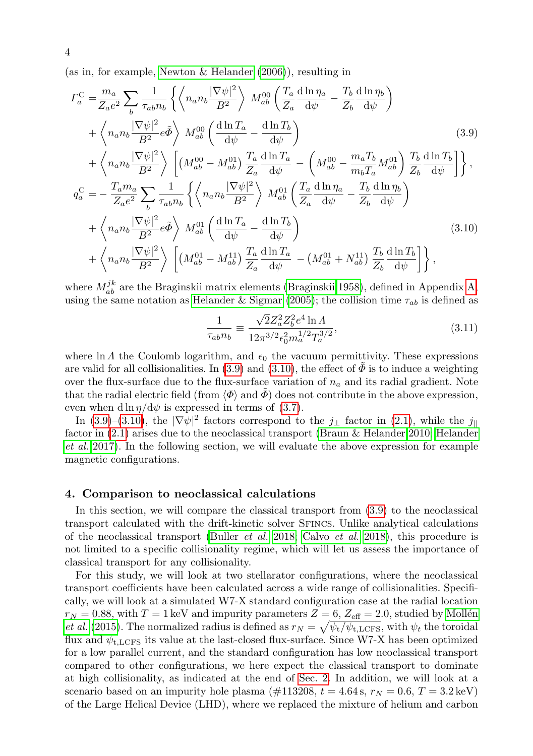(as in, for example, [Newton & Helander](#page-8-9) [\(2006\)](#page-8-9)), resulting in

$$
\Gamma_a^{\text{C}} = \frac{m_a}{Z_a e^2} \sum_b \frac{1}{\tau_{ab} n_b} \left\{ \left\langle n_a n_b \frac{|\nabla \psi|^2}{B^2} \right\rangle M_{ab}^{00} \left( \frac{T_a}{Z_a} \frac{d \ln \eta_a}{d \psi} - \frac{T_b}{Z_b} \frac{d \ln \eta_b}{d \psi} \right) \right. \\
\left. + \left\langle n_a n_b \frac{|\nabla \psi|^2}{B^2} e \tilde{\Phi} \right\rangle M_{ab}^{00} \left( \frac{d \ln T_a}{d \psi} - \frac{d \ln T_b}{d \psi} \right) \right. \\
\left. + \left\langle n_a n_b \frac{|\nabla \psi|^2}{B^2} \right\rangle \left[ \left( M_{ab}^{00} - M_{ab}^{01} \right) \frac{T_a}{Z_a} \frac{d \ln T_a}{d \psi} - \left( M_{ab}^{00} - \frac{m_a T_b}{m_b T_a} M_{ab}^{01} \right) \frac{T_b}{Z_b} \frac{d \ln T_b}{d \psi} \right] \right\},
$$
\n
$$
q_a^{\text{C}} = -\frac{T_a m_a}{Z_a e^2} \sum_b \frac{1}{\tau_{ab} n_b} \left\{ \left\langle n_a n_b \frac{|\nabla \psi|^2}{B^2} \right\rangle M_{ab}^{01} \left( \frac{T_a}{Z_a} \frac{d \ln \eta_a}{d \psi} - \frac{T_b}{Z_b} \frac{d \ln \eta_b}{d \psi} \right) \right. \\
\left. + \left\langle n_a n_b \frac{|\nabla \psi|^2}{B^2} e \tilde{\Phi} \right\rangle M_{ab}^{01} \left( \frac{d \ln T_a}{d \psi} - \frac{d \ln T_b}{d \psi} \right) \right. \\
\left. + \left\langle n_a n_b \frac{|\nabla \psi|^2}{B^2} \right\rangle \left[ \left( M_{ab}^{01} - M_{ab}^{11} \right) \frac{T_a}{Z_a} \frac{d \ln T_a}{d \psi} - \left( M_{ab}^{01} + N_{ab}^{11} \right) \frac{T_b}{Z_b} \frac{d \ln T_b}{d \psi} \right] \right\},
$$
\n(3.10)

where  $M_{ab}^{jk}$  are the Braginskii matrix elements [\(Braginskii 1958\)](#page-8-10), defined in Appendix [A,](#page-7-1) using the same notation as [Helander & Sigmar](#page-8-11) [\(2005\)](#page-8-11); the collision time  $\tau_{ab}$  is defined as

<span id="page-3-2"></span><span id="page-3-1"></span>
$$
\frac{1}{\tau_{ab}n_b} \equiv \frac{\sqrt{2}Z_a^2 Z_b^2 e^4 \ln \Lambda}{12\pi^{3/2} \epsilon_0^2 m_a^{1/2} T_a^{3/2}},\tag{3.11}
$$

where ln  $\Lambda$  the Coulomb logarithm, and  $\epsilon_0$  the vacuum permittivity. These expressions are valid for all collisionalities. In [\(3.9\)](#page-3-1) and [\(3.10\)](#page-3-2), the effect of  $\Phi$  is to induce a weighting over the flux-surface due to the flux-surface variation of  $n_a$  and its radial gradient. Note that the radial electric field (from  $\langle \Phi \rangle$  and  $\bar{\Phi}$ ) does not contribute in the above expression, even when d ln  $\eta$ /d $\psi$  is expressed in terms of [\(3.7\)](#page-2-4).

In [\(3.9\)](#page-3-1)–[\(3.10\)](#page-3-2), the  $|\nabla \psi|^2$  factors correspond to the  $j_{\perp}$  factor in [\(2.1\)](#page-1-0), while the  $j_{\parallel}$ factor in [\(2.1\)](#page-1-0) arises due to the neoclassical transport [\(Braun & Helander 2010;](#page-8-0) [Helander](#page-8-1) [et al.](#page-8-1) [2017\)](#page-8-1). In the following section, we will evaluate the above expression for example magnetic configurations.

## <span id="page-3-0"></span>4. Comparison to neoclassical calculations

In this section, we will compare the classical transport from [\(3.9\)](#page-3-1) to the neoclassical transport calculated with the drift-kinetic solver Sfincs. Unlike analytical calculations of the neoclassical transport [\(Buller](#page-8-4) *et al.* [2018;](#page-8-4) [Calvo](#page-8-12) *et al.* [2018\)](#page-8-12), this procedure is not limited to a specific collisionality regime, which will let us assess the importance of classical transport for any collisionality.

For this study, we will look at two stellarator configurations, where the neoclassical transport coefficients have been calculated across a wide range of collisionalities. Specifically, we will look at a simulated W7-X standard configuration case at the radial location  $r_N = 0.88$ , with  $T = 1 \,\text{keV}$  and impurity parameters  $Z = 6$ ,  $Z_{\text{eff}} = 2.0$ , studied by Mollén *[et al.](#page-8-13)* [\(2015\)](#page-8-13). The normalized radius is defined as  $r_N = \sqrt{\psi_t/\psi_{t, \text{LCFS}}}$ , with  $\psi_t$  the toroidal flux and  $\psi_{\text{t,LCFS}}$  its value at the last-closed flux-surface. Since W7-X has been optimized for a low parallel current, and the standard configuration has low neoclassical transport compared to other configurations, we here expect the classical transport to dominate at high collisionality, as indicated at the end of [Sec. 2.](#page-1-2) In addition, we will look at a scenario based on an impurity hole plasma (#113208,  $t = 4.64$  s,  $r_N = 0.6$ ,  $T = 3.2 \text{ keV}$ ) of the Large Helical Device (LHD), where we replaced the mixture of helium and carbon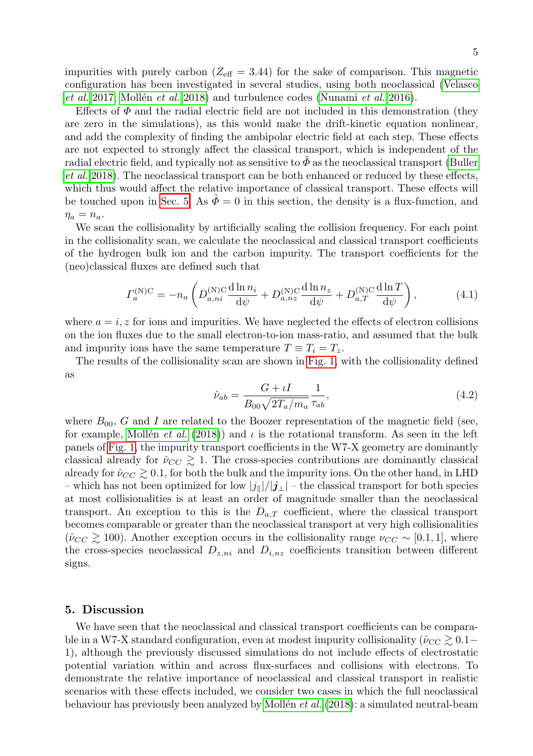impurities with purely carbon ( $Z_{\text{eff}} = 3.44$ ) for the sake of comparison. This magnetic configuration has been investigated in several studies, using both neoclassical [\(Velasco](#page-9-2) [et al.](#page-9-2) [2017;](#page-9-2) Mollén et al. [2018\)](#page-8-14) and turbulence codes [\(Nunami](#page-9-3) et al. [2016\)](#page-9-3).

Effects of  $\Phi$  and the radial electric field are not included in this demonstration (they are zero in the simulations), as this would make the drift-kinetic equation nonlinear, and add the complexity of finding the ambipolar electric field at each step. These effects are not expected to strongly affect the classical transport, which is independent of the radial electric field, and typically not as sensitive to  $\tilde{\Phi}$  as the neoclassical transport [\(Buller](#page-8-4) [et al.](#page-8-4) [2018\)](#page-8-4). The neoclassical transport can be both enhanced or reduced by these effects, which thus would affect the relative importance of classical transport. These effects will be touched upon in [Sec. 5.](#page-4-0) As  $\bar{\Phi} = 0$  in this section, the density is a flux-function, and  $\eta_a = n_a.$ 

We scan the collisionality by artificially scaling the collision frequency. For each point in the collisionality scan, we calculate the neoclassical and classical transport coefficients of the hydrogen bulk ion and the carbon impurity. The transport coefficients for the (neo)classical fluxes are defined such that

<span id="page-4-1"></span>
$$
\Gamma_a^{(\rm N)C} = -n_a \left( D_{a,ni}^{(\rm N)C} \frac{\mathrm{d}\ln n_i}{\mathrm{d}\psi} + D_{a,nz}^{(\rm N)C} \frac{\mathrm{d}\ln n_z}{\mathrm{d}\psi} + D_{a,T}^{(\rm N)C} \frac{\mathrm{d}\ln T}{\mathrm{d}\psi} \right),\tag{4.1}
$$

where  $a = i, z$  for ions and impurities. We have neglected the effects of electron collisions on the ion fluxes due to the small electron-to-ion mass-ratio, and assumed that the bulk and impurity ions have the same temperature  $T \equiv T_i = T_z$ .

The results of the collisionality scan are shown in [Fig. 1,](#page-5-0) with the collisionality defined as

$$
\hat{\nu}_{ab} = \frac{G + \iota I}{B_{00}\sqrt{2T_a/m_a}} \frac{1}{\tau_{ab}},\tag{4.2}
$$

where  $B_{00}$ , G and I are related to the Boozer representation of the magnetic field (see, for example, Mollén *et al.* [\(2018\)](#page-8-14)) and  $\iota$  is the rotational transform. As seen in the left panels of [Fig. 1,](#page-5-0) the impurity transport coefficients in the W7-X geometry are dominantly classical already for  $\hat{\nu}_{CC} \gtrsim 1$ . The cross-species contributions are dominantly classical already for  $\hat{\nu}_{CC} \gtrsim 0.1$ , for both the bulk and the impurity ions. On the other hand, in LHD – which has not been optimized for low  $|j_{\parallel}|/|j_{\perp}|$  – the classical transport for both species at most collisionalities is at least an order of magnitude smaller than the neoclassical transport. An exception to this is the  $D_{a,T}$  coefficient, where the classical transport becomes comparable or greater than the neoclassical transport at very high collisionalities  $(\hat{\nu}_{CC} \ge 100)$ . Another exception occurs in the collisionality range  $\nu_{CC} \sim [0.1, 1]$ , where the cross-species neoclassical  $D_{z,n_i}$  and  $D_{i,nz}$  coefficients transition between different signs.

## <span id="page-4-0"></span>5. Discussion

We have seen that the neoclassical and classical transport coefficients can be comparable in a W7-X standard configuration, even at modest impurity collisionality ( $\hat{\nu}_{\text{CC}} \gtrsim 0.1-$ 1), although the previously discussed simulations do not include effects of electrostatic potential variation within and across flux-surfaces and collisions with electrons. To demonstrate the relative importance of neoclassical and classical transport in realistic scenarios with these effects included, we consider two cases in which the full neoclassical behaviour has previously been analyzed by Mollén *et al.* [\(2018\)](#page-8-14): a simulated neutral-beam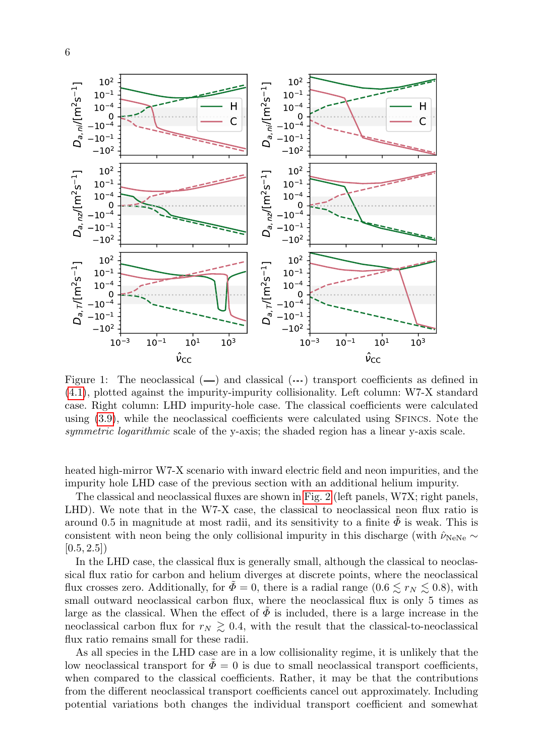<span id="page-5-0"></span>

Figure 1: The neoclassical  $(-)$  and classical  $(-)$  transport coefficients as defined in [\(4.1\)](#page-4-1), plotted against the impurity-impurity collisionality. Left column: W7-X standard case. Right column: LHD impurity-hole case. The classical coefficients were calculated using [\(3.9\)](#page-3-1), while the neoclassical coefficients were calculated using Sfincs. Note the symmetric logarithmic scale of the y-axis; the shaded region has a linear y-axis scale.

heated high-mirror W7-X scenario with inward electric field and neon impurities, and the impurity hole LHD case of the previous section with an additional helium impurity.

The classical and neoclassical fluxes are shown in [Fig. 2](#page-6-0) (left panels, W7X; right panels, LHD). We note that in the W7-X case, the classical to neoclassical neon flux ratio is around 0.5 in magnitude at most radii, and its sensitivity to a finite  $\Phi$  is weak. This is consistent with neon being the only collisional impurity in this discharge (with  $\hat{\nu}_{\text{NeNe}} \sim$  $[0.5, 2.5]$ 

In the LHD case, the classical flux is generally small, although the classical to neoclassical flux ratio for carbon and helium diverges at discrete points, where the neoclassical flux crosses zero. Additionally, for  $\Phi = 0$ , there is a radial range  $(0.6 \leq r_N \leq 0.8)$ , with small outward neoclassical carbon flux, where the neoclassical flux is only 5 times as large as the classical. When the effect of  $\tilde{\Phi}$  is included, there is a large increase in the neoclassical carbon flux for  $r_N \gtrsim 0.4$ , with the result that the classical-to-neoclassical flux ratio remains small for these radii.

As all species in the LHD case are in a low collisionality regime, it is unlikely that the low neoclassical transport for  $\Phi = 0$  is due to small neoclassical transport coefficients, when compared to the classical coefficients. Rather, it may be that the contributions from the different neoclassical transport coefficients cancel out approximately. Including potential variations both changes the individual transport coefficient and somewhat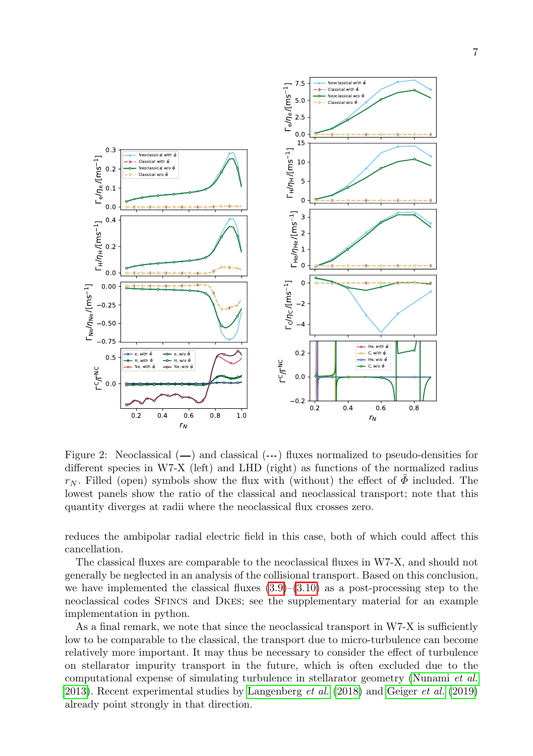<span id="page-6-0"></span>

Figure 2: Neoclassical  $(-)$  and classical  $(-)$  fluxes normalized to pseudo-densities for different species in W7-X (left) and LHD (right) as functions of the normalized radius  $r_N$ . Filled (open) symbols show the flux with (without) the effect of  $\Phi$  included. The lowest panels show the ratio of the classical and neoclassical transport; note that this quantity diverges at radii where the neoclassical flux crosses zero.

reduces the ambipolar radial electric field in this case, both of which could affect this cancellation.

The classical fluxes are comparable to the neoclassical fluxes in W7-X, and should not generally be neglected in an analysis of the collisional transport. Based on this conclusion, we have implemented the classical fluxes  $(3.9)$ – $(3.10)$  as a post-processing step to the neoclassical codes Sfincs and Dkes; see the supplementary material for an example implementation in python.

As a final remark, we note that since the neoclassical transport in W7-X is sufficiently low to be comparable to the classical, the transport due to micro-turbulence can become relatively more important. It may thus be necessary to consider the effect of turbulence on stellarator impurity transport in the future, which is often excluded due to the computational expense of simulating turbulence in stellarator geometry [\(Nunami](#page-9-4) et al. [2013\)](#page-9-4). Recent experimental studies by [Langenberg](#page-8-15)  $et al. (2018)$  $et al. (2018)$  and [Geiger](#page-8-16)  $et al. (2019)$  $et al. (2019)$ already point strongly in that direction.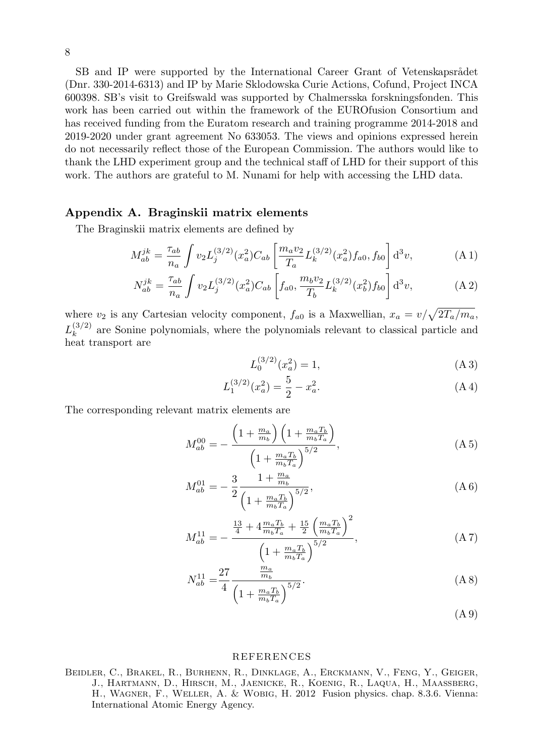SB and IP were supported by the International Career Grant of Vetenskapsrådet (Dnr. 330-2014-6313) and IP by Marie Sklodowska Curie Actions, Cofund, Project INCA 600398. SB's visit to Greifswald was supported by Chalmersska forskningsfonden. This work has been carried out within the framework of the EUROfusion Consortium and has received funding from the Euratom research and training programme 2014-2018 and 2019-2020 under grant agreement No 633053. The views and opinions expressed herein do not necessarily reflect those of the European Commission. The authors would like to thank the LHD experiment group and the technical staff of LHD for their support of this work. The authors are grateful to M. Nunami for help with accessing the LHD data.

# <span id="page-7-1"></span>Appendix A. Braginskii matrix elements

The Braginskii matrix elements are defined by

$$
M_{ab}^{jk} = \frac{\tau_{ab}}{n_a} \int v_2 L_j^{(3/2)}(x_a^2) C_{ab} \left[ \frac{m_a v_2}{T_a} L_k^{(3/2)}(x_a^2) f_{a0}, f_{b0} \right] d^3 v,\tag{A.1}
$$

$$
N_{ab}^{jk} = \frac{\tau_{ab}}{n_a} \int v_2 L_j^{(3/2)}(x_a^2) C_{ab} \left[ f_{a0}, \frac{m_b v_2}{T_b} L_k^{(3/2)}(x_b^2) f_{b0} \right] d^3v,\tag{A.2}
$$

where  $v_2$  is any Cartesian velocity component,  $f_{a0}$  is a Maxwellian,  $x_a = v/\sqrt{2T_a/m_a}$ ,  $L_k^{(3/2)}$  $\binom{3}{k}$  are Sonine polynomials, where the polynomials relevant to classical particle and heat transport are

$$
L_0^{(3/2)}(x_a^2) = 1,
$$
\n(A3)

$$
L_1^{(3/2)}(x_a^2) = \frac{5}{2} - x_a^2.
$$
 (A 4)

The corresponding relevant matrix elements are

$$
M_{ab}^{00} = -\frac{\left(1 + \frac{m_a}{m_b}\right)\left(1 + \frac{m_a T_b}{m_b T_a}\right)}{\left(1 + \frac{m_a T_b}{m_b T_a}\right)^{5/2}},\tag{A.5}
$$

$$
M_{ab}^{01} = -\frac{3}{2} \frac{1 + \frac{m_a}{m_b}}{\left(1 + \frac{m_a T_b}{m_b T_a}\right)^{5/2}},\tag{A 6}
$$

$$
M_{ab}^{11} = -\frac{\frac{13}{4} + 4\frac{m_a T_b}{m_b T_a} + \frac{15}{2} \left(\frac{m_a T_b}{m_b T_a}\right)^2}{\left(1 + \frac{m_a T_b}{m_b T_a}\right)^{5/2}},
$$
\n(A7)

$$
N_{ab}^{11} = \frac{27}{4} \frac{\frac{m_a}{m_b}}{\left(1 + \frac{m_a T_b}{m_b T_a}\right)^{5/2}}.
$$
\n(A8)

(A 9)

#### REFERENCES

<span id="page-7-0"></span>Beidler, C., Brakel, R., Burhenn, R., Dinklage, A., Erckmann, V., Feng, Y., Geiger, J., HARTMANN, D., HIRSCH, M., JAENICKE, R., KOENIG, R., LAQUA, H., MAASSBERG, H., Wagner, F., Weller, A. & Wobig, H. 2012 Fusion physics. chap. 8.3.6. Vienna: International Atomic Energy Agency.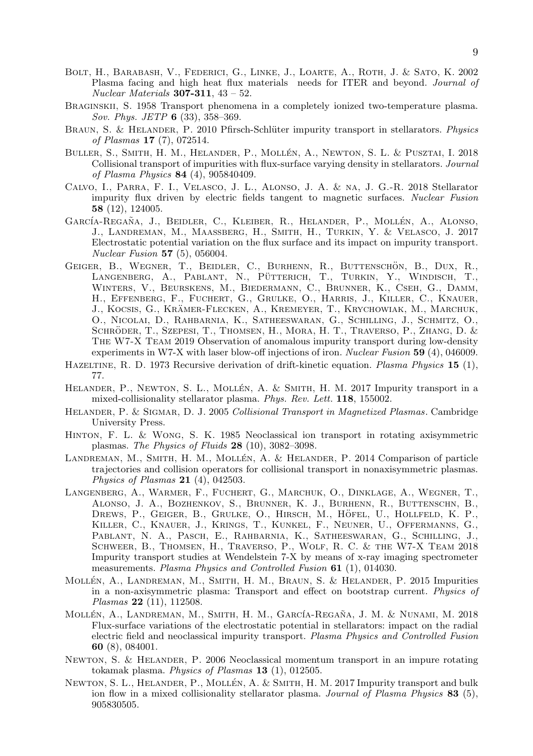- <span id="page-8-5"></span>Bolt, H., Barabash, V., Federici, G., Linke, J., Loarte, A., Roth, J. & Sato, K. 2002 Plasma facing and high heat flux materials needs for ITER and beyond. *Journal of*  $Nuclear \, Materials$  307-311, 43 – 52.
- <span id="page-8-10"></span>Braginskii, S. 1958 Transport phenomena in a completely ionized two-temperature plasma. Sov. Phys. JETP 6 (33), 358–369.
- <span id="page-8-0"></span>BRAUN, S. & HELANDER, P. 2010 Pfirsch-Schlüter impurity transport in stellarators. Physics of Plasmas 17 (7), 072514.
- <span id="page-8-4"></span>BULLER, S., SMITH, H. M., HELANDER, P., MOLLÉN, A., NEWTON, S. L. & PUSZTAI, I. 2018 Collisional transport of impurities with flux-surface varying density in stellarators. Journal of Plasma Physics 84 (4), 905840409.
- <span id="page-8-12"></span>Calvo, I., Parra, F. I., Velasco, J. L., Alonso, J. A. & na, J. G.-R. 2018 Stellarator impurity flux driven by electric fields tangent to magnetic surfaces. Nuclear Fusion 58 (12), 124005.
- <span id="page-8-7"></span>GARCÍA-REGAÑA, J., BEIDLER, C., KLEIBER, R., HELANDER, P., MOLLÉN, A., ALONSO, J., Landreman, M., Maaßberg, H., Smith, H., Turkin, Y. & Velasco, J. 2017 Electrostatic potential variation on the flux surface and its impact on impurity transport. Nuclear Fusion 57 (5), 056004.
- <span id="page-8-16"></span>GEIGER, B., WEGNER, T., BEIDLER, C., BURHENN, R., BUTTENSCHÖN, B., DUX, R., Langenberg, A., Pablant, N., Putterich, T., Turkin, Y., Windisch, T., ¨ Winters, V., Beurskens, M., Biedermann, C., Brunner, K., Cseh, G., Damm, H., Effenberg, F., Fuchert, G., Grulke, O., Harris, J., Killer, C., Knauer, J., Kocsis, G., Kramer-Flecken, A., Kremeyer, T., Krychowiak, M., Marchuk, ¨ O., Nicolai, D., Rahbarnia, K., Satheeswaran, G., Schilling, J., Schmitz, O., SCHRÖDER, T., SZEPESI, T., THOMSEN, H., MORA, H. T., TRAVERSO, P., ZHANG, D. & The W7-X Team 2019 Observation of anomalous impurity transport during low-density experiments in W7-X with laser blow-off injections of iron. Nuclear Fusion 59 (4), 046009.
- <span id="page-8-6"></span>HAZELTINE, R. D. 1973 Recursive derivation of drift-kinetic equation. Plasma Physics 15 (1), 77.
- <span id="page-8-1"></span>HELANDER, P., NEWTON, S. L., MOLLÉN, A. & SMITH, H. M. 2017 Impurity transport in a mixed-collisionality stellarator plasma. Phys. Rev. Lett. 118, 155002.
- <span id="page-8-11"></span>HELANDER, P. & SIGMAR, D. J. 2005 Collisional Transport in Magnetized Plasmas. Cambridge University Press.
- <span id="page-8-8"></span>Hinton, F. L. & Wong, S. K. 1985 Neoclassical ion transport in rotating axisymmetric plasmas. The Physics of Fluids  $28$  (10), 3082-3098.
- <span id="page-8-3"></span>LANDREMAN, M., SMITH, H. M., MOLLÉN, A. & HELANDER, P. 2014 Comparison of particle trajectories and collision operators for collisional transport in nonaxisymmetric plasmas. Physics of Plasmas  $21$  (4), 042503.
- <span id="page-8-15"></span>Langenberg, A., Warmer, F., Fuchert, G., Marchuk, O., Dinklage, A., Wegner, T., Alonso, J. A., Bozhenkov, S., Brunner, K. J., Burhenn, R., Buttenschn, B., Drews, P., Geiger, B., Grulke, O., Hirsch, M., Hofel, U., Hollfeld, K. P., ¨ Killer, C., Knauer, J., Krings, T., Kunkel, F., Neuner, U., Offermanns, G., Pablant, N. A., Pasch, E., Rahbarnia, K., Satheeswaran, G., Schilling, J., Schweer, B., Thomsen, H., Traverso, P., Wolf, R. C. & the W7-X Team 2018 Impurity transport studies at Wendelstein 7-X by means of x-ray imaging spectrometer measurements. Plasma Physics and Controlled Fusion 61 (1), 014030.
- <span id="page-8-13"></span>MOLLÉN, A., LANDREMAN, M., SMITH, H. M., BRAUN, S. & HELANDER, P. 2015 Impurities in a non-axisymmetric plasma: Transport and effect on bootstrap current. Physics of Plasmas 22 (11), 112508.
- <span id="page-8-14"></span>MOLLÉN, A., LANDREMAN, M., SMITH, H. M., GARCÍA-REGAÑA, J. M. & NUNAMI, M. 2018 Flux-surface variations of the electrostatic potential in stellarators: impact on the radial electric field and neoclassical impurity transport. Plasma Physics and Controlled Fusion 60 (8), 084001.
- <span id="page-8-9"></span>Newton, S. & Helander, P. 2006 Neoclassical momentum transport in an impure rotating tokamak plasma. Physics of Plasmas  $13$  (1), 012505.
- <span id="page-8-2"></span>NEWTON, S. L., HELANDER, P., MOLLÉN, A. & SMITH, H. M. 2017 Impurity transport and bulk ion flow in a mixed collisionality stellarator plasma. Journal of Plasma Physics 83 (5), 905830505.